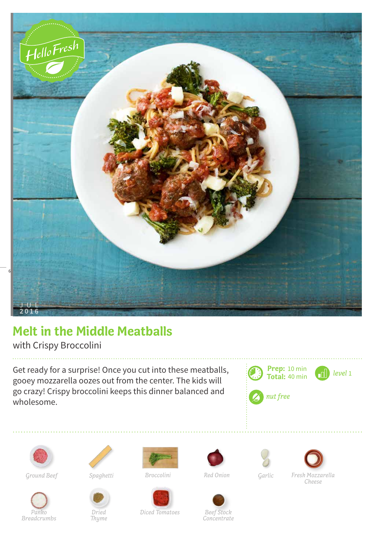

## **Melt in the Middle Meatballs**

with Crispy Broccolini

Get ready for a surprise! Once you cut into these meatballs, gooey mozzarella oozes out from the center. The kids will go crazy! Crispy broccolini keeps this dinner balanced and wholesome.





*Breadcrumbs*



*Panko* 

*Dried*

*Thyme*

*Red Onion*





*Ground Beef Spaghetti Broccolini Garlic Fresh Mozzarella Cheese*

*Diced Tomatoes Beef Stock*

*Concentrate*